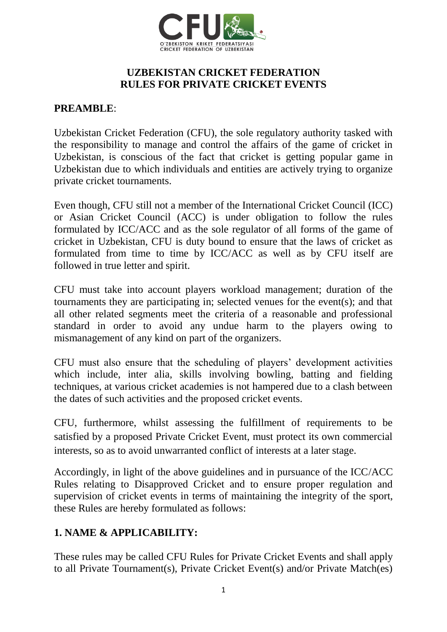

#### **UZBEKISTAN CRICKET FEDERATION RULES FOR PRIVATE CRICKET EVENTS**

#### **PREAMBLE**:

Uzbekistan Cricket Federation (CFU), the sole regulatory authority tasked with the responsibility to manage and control the affairs of the game of cricket in Uzbekistan, is conscious of the fact that cricket is getting popular game in Uzbekistan due to which individuals and entities are actively trying to organize private cricket tournaments.

Even though, CFU still not a member of the International Cricket Council (ICC) or Asian Cricket Council (ACC) is under obligation to follow the rules formulated by ICC/ACC and as the sole regulator of all forms of the game of cricket in Uzbekistan, CFU is duty bound to ensure that the laws of cricket as formulated from time to time by ICC/ACC as well as by CFU itself are followed in true letter and spirit.

CFU must take into account players workload management; duration of the tournaments they are participating in; selected venues for the event(s); and that all other related segments meet the criteria of a reasonable and professional standard in order to avoid any undue harm to the players owing to mismanagement of any kind on part of the organizers.

CFU must also ensure that the scheduling of players' development activities which include, inter alia, skills involving bowling, batting and fielding techniques, at various cricket academies is not hampered due to a clash between the dates of such activities and the proposed cricket events.

CFU, furthermore, whilst assessing the fulfillment of requirements to be satisfied by a proposed Private Cricket Event, must protect its own commercial interests, so as to avoid unwarranted conflict of interests at a later stage.

Accordingly, in light of the above guidelines and in pursuance of the ICC/ACC Rules relating to Disapproved Cricket and to ensure proper regulation and supervision of cricket events in terms of maintaining the integrity of the sport, these Rules are hereby formulated as follows:

### **1. NAME & APPLICABILITY:**

These rules may be called CFU Rules for Private Cricket Events and shall apply to all Private Tournament(s), Private Cricket Event(s) and/or Private Match(es)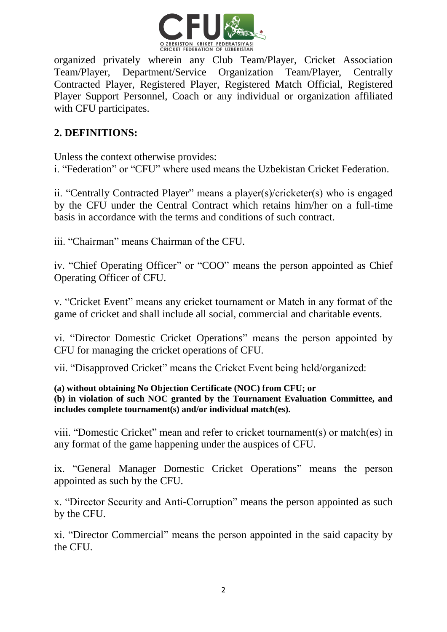

organized privately wherein any Club Team/Player, Cricket Association Team/Player, Department/Service Organization Team/Player, Centrally Contracted Player, Registered Player, Registered Match Official, Registered Player Support Personnel, Coach or any individual or organization affiliated with CFU participates.

# **2. DEFINITIONS:**

Unless the context otherwise provides: i. "Federation" or "CFU" where used means the Uzbekistan Cricket Federation.

ii. "Centrally Contracted Player" means a player(s)/cricketer(s) who is engaged by the CFU under the Central Contract which retains him/her on a full-time basis in accordance with the terms and conditions of such contract.

iii. "Chairman" means Chairman of the CFU.

iv. "Chief Operating Officer" or "COO" means the person appointed as Chief Operating Officer of CFU.

v. "Cricket Event" means any cricket tournament or Match in any format of the game of cricket and shall include all social, commercial and charitable events.

vi. "Director Domestic Cricket Operations" means the person appointed by CFU for managing the cricket operations of CFU.

vii. "Disapproved Cricket" means the Cricket Event being held/organized:

#### **(a) without obtaining No Objection Certificate (NOC) from CFU; or (b) in violation of such NOC granted by the Tournament Evaluation Committee, and includes complete tournament(s) and/or individual match(es).**

viii. "Domestic Cricket" mean and refer to cricket tournament(s) or match(es) in any format of the game happening under the auspices of CFU.

ix. "General Manager Domestic Cricket Operations" means the person appointed as such by the CFU.

x. "Director Security and Anti-Corruption" means the person appointed as such by the CFU.

xi. "Director Commercial" means the person appointed in the said capacity by the CFU.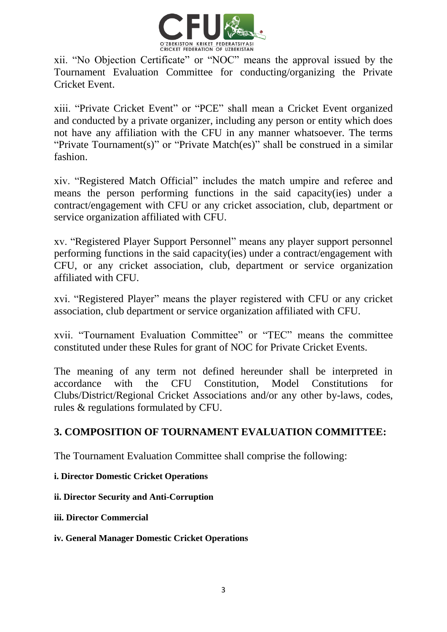

xii. "No Objection Certificate" or "NOC" means the approval issued by the Tournament Evaluation Committee for conducting/organizing the Private Cricket Event.

xiii. "Private Cricket Event" or "PCE" shall mean a Cricket Event organized and conducted by a private organizer, including any person or entity which does not have any affiliation with the CFU in any manner whatsoever. The terms "Private Tournament(s)" or "Private Match(es)" shall be construed in a similar fashion.

xiv. "Registered Match Official" includes the match umpire and referee and means the person performing functions in the said capacity(ies) under a contract/engagement with CFU or any cricket association, club, department or service organization affiliated with CFU.

xv. "Registered Player Support Personnel" means any player support personnel performing functions in the said capacity(ies) under a contract/engagement with CFU, or any cricket association, club, department or service organization affiliated with CFU.

xvi. "Registered Player" means the player registered with CFU or any cricket association, club department or service organization affiliated with CFU.

xvii. "Tournament Evaluation Committee" or "TEC" means the committee constituted under these Rules for grant of NOC for Private Cricket Events.

The meaning of any term not defined hereunder shall be interpreted in accordance with the CFU Constitution, Model Constitutions for Clubs/District/Regional Cricket Associations and/or any other by-laws, codes, rules & regulations formulated by CFU.

### **3. COMPOSITION OF TOURNAMENT EVALUATION COMMITTEE:**

The Tournament Evaluation Committee shall comprise the following:

**i. Director Domestic Cricket Operations** 

**ii. Director Security and Anti-Corruption** 

**iii. Director Commercial** 

#### **iv. General Manager Domestic Cricket Operations**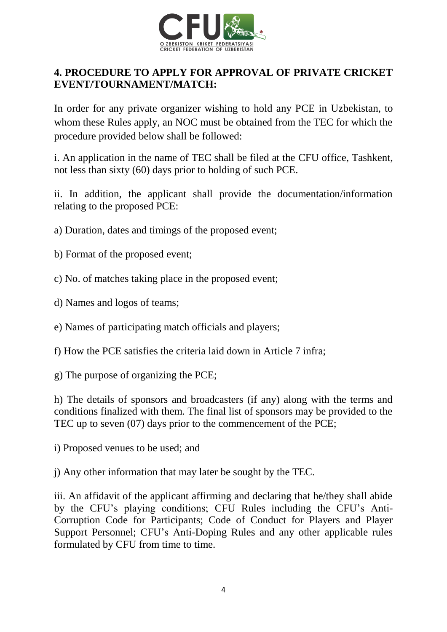

### **4. PROCEDURE TO APPLY FOR APPROVAL OF PRIVATE CRICKET EVENT/TOURNAMENT/MATCH:**

In order for any private organizer wishing to hold any PCE in Uzbekistan, to whom these Rules apply, an NOC must be obtained from the TEC for which the procedure provided below shall be followed:

i. An application in the name of TEC shall be filed at the CFU office, Tashkent, not less than sixty (60) days prior to holding of such PCE.

ii. In addition, the applicant shall provide the documentation/information relating to the proposed PCE:

- a) Duration, dates and timings of the proposed event;
- b) Format of the proposed event;
- c) No. of matches taking place in the proposed event;
- d) Names and logos of teams;
- e) Names of participating match officials and players;
- f) How the PCE satisfies the criteria laid down in Article 7 infra;
- g) The purpose of organizing the PCE;

h) The details of sponsors and broadcasters (if any) along with the terms and conditions finalized with them. The final list of sponsors may be provided to the TEC up to seven (07) days prior to the commencement of the PCE;

- i) Proposed venues to be used; and
- j) Any other information that may later be sought by the TEC.

iii. An affidavit of the applicant affirming and declaring that he/they shall abide by the CFU's playing conditions; CFU Rules including the CFU's Anti-Corruption Code for Participants; Code of Conduct for Players and Player Support Personnel; CFU's Anti-Doping Rules and any other applicable rules formulated by CFU from time to time.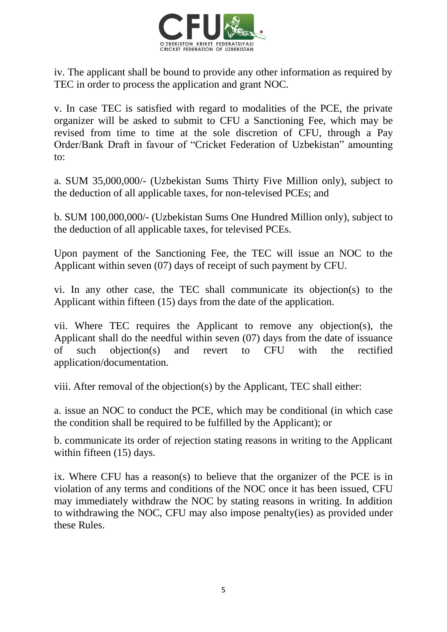

iv. The applicant shall be bound to provide any other information as required by TEC in order to process the application and grant NOC.

v. In case TEC is satisfied with regard to modalities of the PCE, the private organizer will be asked to submit to CFU a Sanctioning Fee, which may be revised from time to time at the sole discretion of CFU, through a Pay Order/Bank Draft in favour of "Cricket Federation of Uzbekistan" amounting to:

a. SUM 35,000,000/- (Uzbekistan Sums Thirty Five Million only), subject to the deduction of all applicable taxes, for non-televised PCEs; and

b. SUM 100,000,000/- (Uzbekistan Sums One Hundred Million only), subject to the deduction of all applicable taxes, for televised PCEs.

Upon payment of the Sanctioning Fee, the TEC will issue an NOC to the Applicant within seven (07) days of receipt of such payment by CFU.

vi. In any other case, the TEC shall communicate its objection(s) to the Applicant within fifteen (15) days from the date of the application.

vii. Where TEC requires the Applicant to remove any objection(s), the Applicant shall do the needful within seven (07) days from the date of issuance of such objection(s) and revert to CFU with the rectified application/documentation.

viii. After removal of the objection(s) by the Applicant, TEC shall either:

a. issue an NOC to conduct the PCE, which may be conditional (in which case the condition shall be required to be fulfilled by the Applicant); or

b. communicate its order of rejection stating reasons in writing to the Applicant within fifteen (15) days.

ix. Where CFU has a reason(s) to believe that the organizer of the PCE is in violation of any terms and conditions of the NOC once it has been issued, CFU may immediately withdraw the NOC by stating reasons in writing. In addition to withdrawing the NOC, CFU may also impose penalty(ies) as provided under these Rules.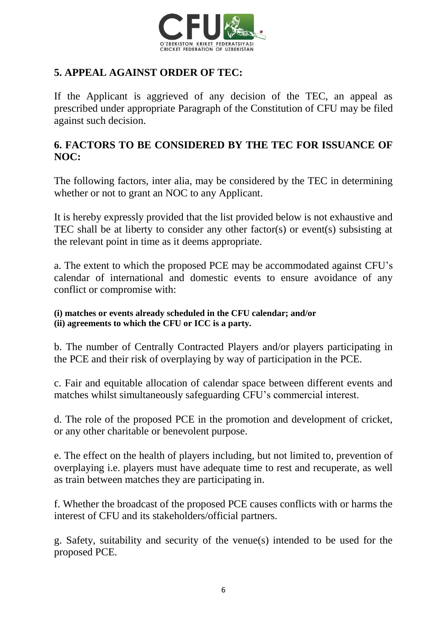

# **5. APPEAL AGAINST ORDER OF TEC:**

If the Applicant is aggrieved of any decision of the TEC, an appeal as prescribed under appropriate Paragraph of the Constitution of CFU may be filed against such decision.

### **6. FACTORS TO BE CONSIDERED BY THE TEC FOR ISSUANCE OF NOC:**

The following factors, inter alia, may be considered by the TEC in determining whether or not to grant an NOC to any Applicant.

It is hereby expressly provided that the list provided below is not exhaustive and TEC shall be at liberty to consider any other factor(s) or event(s) subsisting at the relevant point in time as it deems appropriate.

a. The extent to which the proposed PCE may be accommodated against CFU's calendar of international and domestic events to ensure avoidance of any conflict or compromise with:

#### **(i) matches or events already scheduled in the CFU calendar; and/or (ii) agreements to which the CFU or ICC is a party.**

b. The number of Centrally Contracted Players and/or players participating in the PCE and their risk of overplaying by way of participation in the PCE.

c. Fair and equitable allocation of calendar space between different events and matches whilst simultaneously safeguarding CFU's commercial interest.

d. The role of the proposed PCE in the promotion and development of cricket, or any other charitable or benevolent purpose.

e. The effect on the health of players including, but not limited to, prevention of overplaying i.e. players must have adequate time to rest and recuperate, as well as train between matches they are participating in.

f. Whether the broadcast of the proposed PCE causes conflicts with or harms the interest of CFU and its stakeholders/official partners.

g. Safety, suitability and security of the venue(s) intended to be used for the proposed PCE.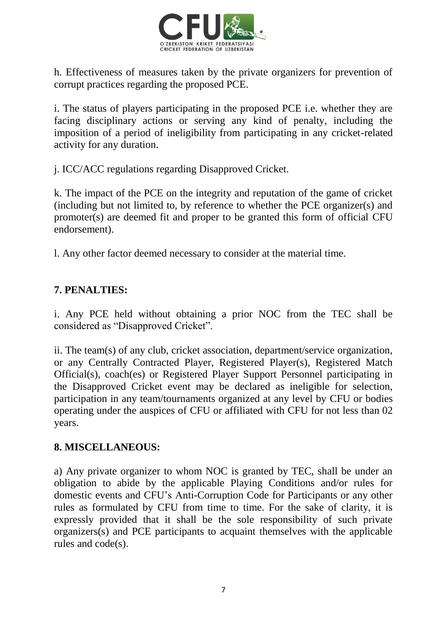

h. Effectiveness of measures taken by the private organizers for prevention of corrupt practices regarding the proposed PCE.

i. The status of players participating in the proposed PCE i.e. whether they are facing disciplinary actions or serving any kind of penalty, including the imposition of a period of ineligibility from participating in any cricket-related activity for any duration.

j. ICC/ACC regulations regarding Disapproved Cricket.

k. The impact of the PCE on the integrity and reputation of the game of cricket (including but not limited to, by reference to whether the PCE organizer(s) and promoter(s) are deemed fit and proper to be granted this form of official CFU endorsement).

l. Any other factor deemed necessary to consider at the material time.

# **7. PENALTIES:**

i. Any PCE held without obtaining a prior NOC from the TEC shall be considered as "Disapproved Cricket".

ii. The team(s) of any club, cricket association, department/service organization, or any Centrally Contracted Player, Registered Player(s), Registered Match Official(s), coach(es) or Registered Player Support Personnel participating in the Disapproved Cricket event may be declared as ineligible for selection, participation in any team/tournaments organized at any level by CFU or bodies operating under the auspices of CFU or affiliated with CFU for not less than 02 years.

#### **8. MISCELLANEOUS:**

a) Any private organizer to whom NOC is granted by TEC, shall be under an obligation to abide by the applicable Playing Conditions and/or rules for domestic events and CFU's Anti-Corruption Code for Participants or any other rules as formulated by CFU from time to time. For the sake of clarity, it is expressly provided that it shall be the sole responsibility of such private organizers(s) and PCE participants to acquaint themselves with the applicable rules and code(s).